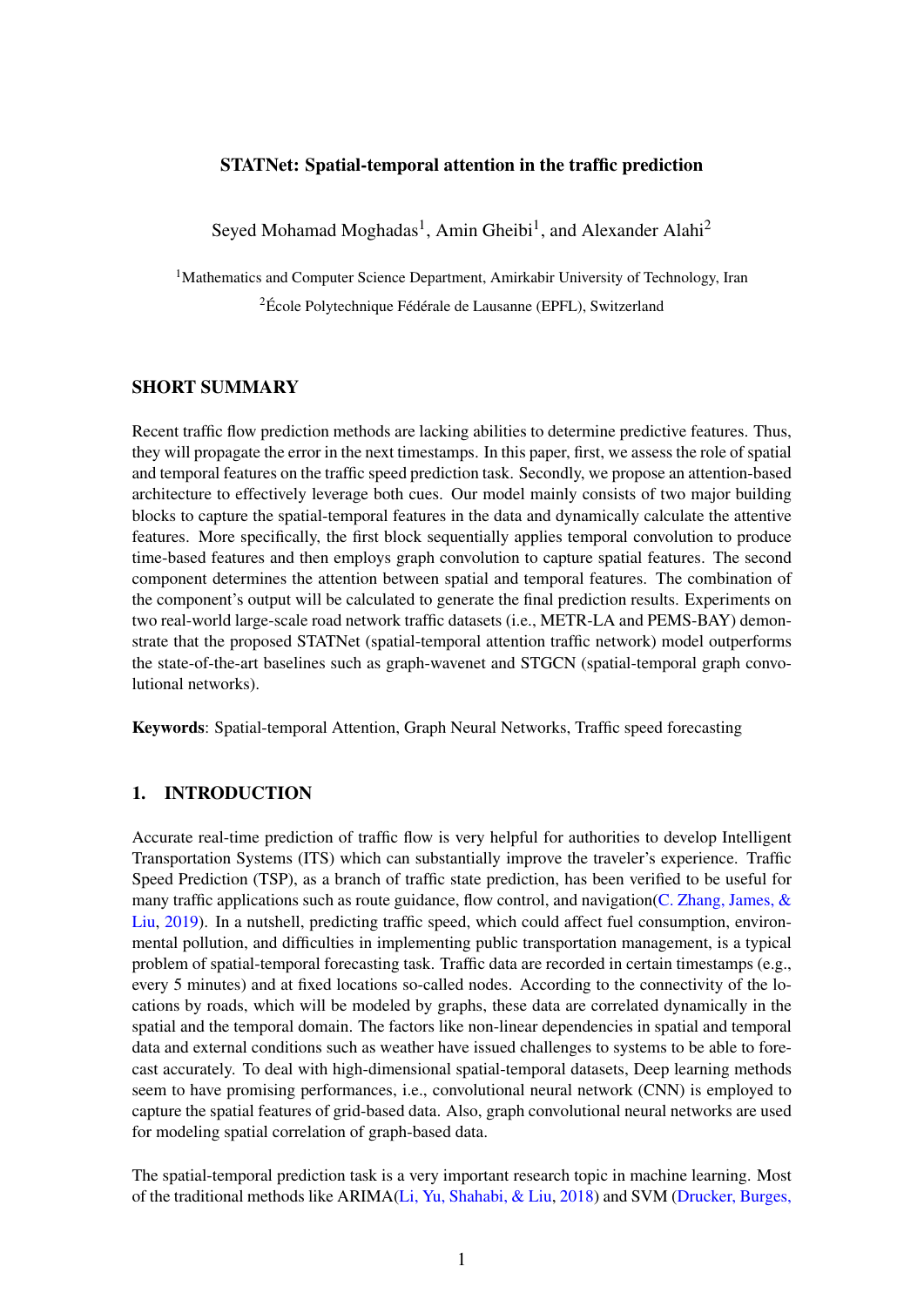## STATNet: Spatial-temporal attention in the traffic prediction

Seyed Mohamad Moghadas<sup>1</sup>, Amin Gheibi<sup>1</sup>, and Alexander Alahi<sup>2</sup>

<sup>1</sup>Mathematics and Computer Science Department, Amirkabir University of Technology, Iran <sup>2</sup>École Polytechnique Fédérale de Lausanne (EPFL), Switzerland

# SHORT SUMMARY

Recent traffic flow prediction methods are lacking abilities to determine predictive features. Thus, they will propagate the error in the next timestamps. In this paper, first, we assess the role of spatial and temporal features on the traffic speed prediction task. Secondly, we propose an attention-based architecture to effectively leverage both cues. Our model mainly consists of two major building blocks to capture the spatial-temporal features in the data and dynamically calculate the attentive features. More specifically, the first block sequentially applies temporal convolution to produce time-based features and then employs graph convolution to capture spatial features. The second component determines the attention between spatial and temporal features. The combination of the component's output will be calculated to generate the final prediction results. Experiments on two real-world large-scale road network traffic datasets (i.e., METR-LA and PEMS-BAY) demonstrate that the proposed STATNet (spatial-temporal attention traffic network) model outperforms the state-of-the-art baselines such as graph-wavenet and STGCN (spatial-temporal graph convolutional networks).

Keywords: Spatial-temporal Attention, Graph Neural Networks, Traffic speed forecasting

# 1. INTRODUCTION

Accurate real-time prediction of traffic flow is very helpful for authorities to develop Intelligent Transportation Systems (ITS) which can substantially improve the traveler's experience. Traffic Speed Prediction (TSP), as a branch of traffic state prediction, has been verified to be useful for many traffic applications such as route guidance, flow control, and navigation(C. Zhang, James,  $\&$ [Liu,](#page-10-0) [2019\)](#page-10-0). In a nutshell, predicting traffic speed, which could affect fuel consumption, environmental pollution, and difficulties in implementing public transportation management, is a typical problem of spatial-temporal forecasting task. Traffic data are recorded in certain timestamps (e.g., every 5 minutes) and at fixed locations so-called nodes. According to the connectivity of the locations by roads, which will be modeled by graphs, these data are correlated dynamically in the spatial and the temporal domain. The factors like non-linear dependencies in spatial and temporal data and external conditions such as weather have issued challenges to systems to be able to forecast accurately. To deal with high-dimensional spatial-temporal datasets, Deep learning methods seem to have promising performances, i.e., convolutional neural network (CNN) is employed to capture the spatial features of grid-based data. Also, graph convolutional neural networks are used for modeling spatial correlation of graph-based data.

The spatial-temporal prediction task is a very important research topic in machine learning. Most of the traditional methods like ARIMA[\(Li, Yu, Shahabi, & Liu,](#page-10-1) [2018\)](#page-10-1) and SVM [\(Drucker, Burges,](#page-9-0)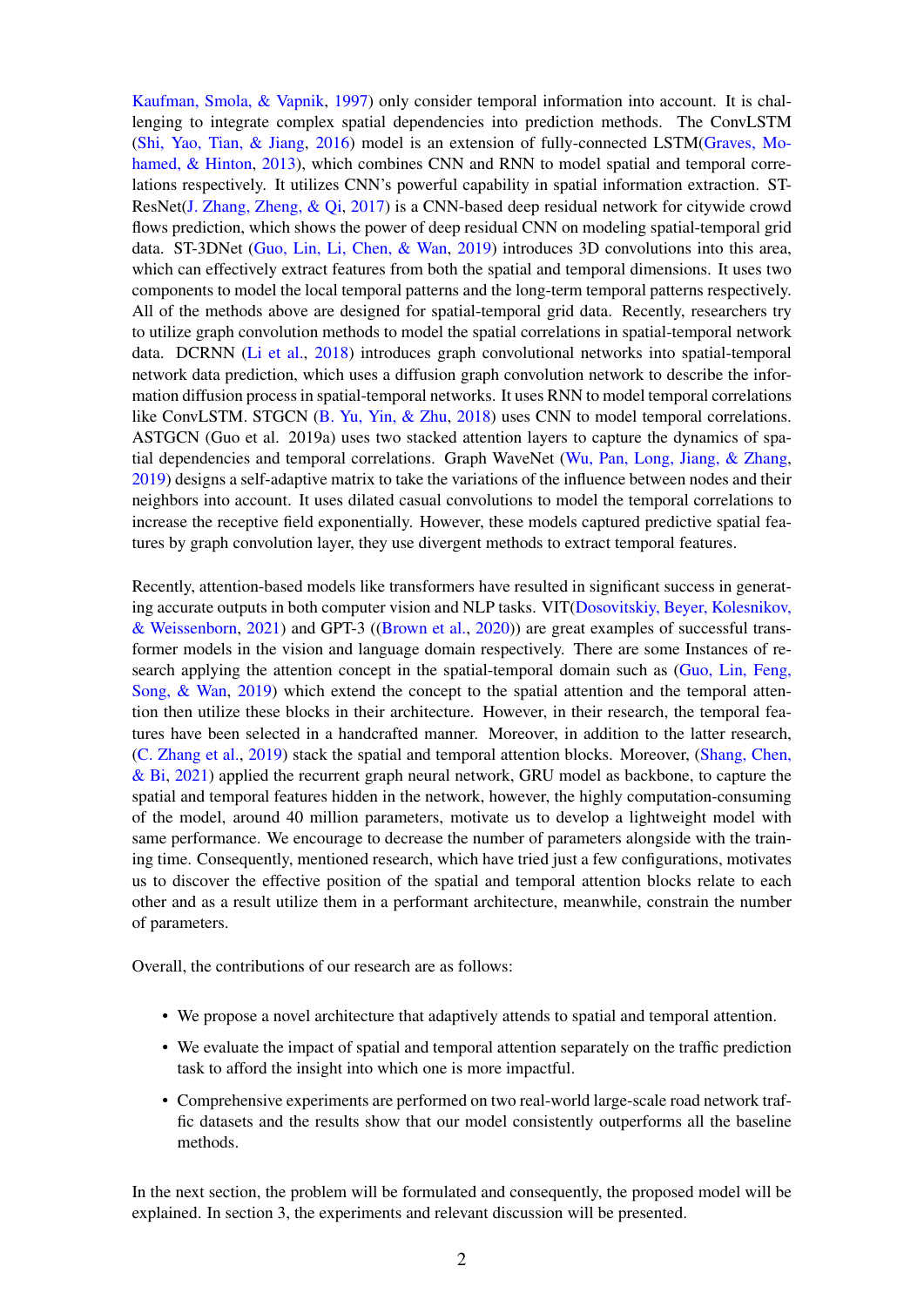[Kaufman, Smola, & Vapnik,](#page-9-0) [1997\)](#page-9-0) only consider temporal information into account. It is challenging to integrate complex spatial dependencies into prediction methods. The ConvLSTM [\(Shi, Yao, Tian, & Jiang,](#page-10-2) [2016\)](#page-10-2) model is an extension of fully-connected LSTM[\(Graves, Mo](#page-10-3)[hamed, & Hinton,](#page-10-3) [2013\)](#page-10-3), which combines CNN and RNN to model spatial and temporal correlations respectively. It utilizes CNN's powerful capability in spatial information extraction. ST-ResNet[\(J. Zhang, Zheng, & Qi,](#page-10-4) [2017\)](#page-10-4) is a CNN-based deep residual network for citywide crowd flows prediction, which shows the power of deep residual CNN on modeling spatial-temporal grid data. ST-3DNet [\(Guo, Lin, Li, Chen, & Wan,](#page-10-5) [2019\)](#page-10-5) introduces 3D convolutions into this area, which can effectively extract features from both the spatial and temporal dimensions. It uses two components to model the local temporal patterns and the long-term temporal patterns respectively. All of the methods above are designed for spatial-temporal grid data. Recently, researchers try to utilize graph convolution methods to model the spatial correlations in spatial-temporal network data. DCRNN [\(Li et al.,](#page-10-1) [2018\)](#page-10-1) introduces graph convolutional networks into spatial-temporal network data prediction, which uses a diffusion graph convolution network to describe the information diffusion process in spatial-temporal networks. It uses RNN to model temporal correlations like ConvLSTM. STGCN [\(B. Yu, Yin, & Zhu,](#page-10-6) [2018\)](#page-10-6) uses CNN to model temporal correlations. ASTGCN (Guo et al. 2019a) uses two stacked attention layers to capture the dynamics of spatial dependencies and temporal correlations. Graph WaveNet [\(Wu, Pan, Long, Jiang, & Zhang,](#page-10-7) [2019\)](#page-10-7) designs a self-adaptive matrix to take the variations of the influence between nodes and their neighbors into account. It uses dilated casual convolutions to model the temporal correlations to increase the receptive field exponentially. However, these models captured predictive spatial features by graph convolution layer, they use divergent methods to extract temporal features.

Recently, attention-based models like transformers have resulted in significant success in generating accurate outputs in both computer vision and NLP tasks. VIT[\(Dosovitskiy, Beyer, Kolesnikov,](#page-9-1) [& Weissenborn,](#page-9-1) [2021\)](#page-9-1) and GPT-3 ([\(Brown et al.,](#page-9-2) [2020\)](#page-9-2)) are great examples of successful transformer models in the vision and language domain respectively. There are some Instances of re-search applying the attention concept in the spatial-temporal domain such as [\(Guo, Lin, Feng,](#page-10-8) [Song, & Wan,](#page-10-8) [2019\)](#page-10-8) which extend the concept to the spatial attention and the temporal attention then utilize these blocks in their architecture. However, in their research, the temporal features have been selected in a handcrafted manner. Moreover, in addition to the latter research, [\(C. Zhang et al.,](#page-10-0) [2019\)](#page-10-0) stack the spatial and temporal attention blocks. Moreover, [\(Shang, Chen,](#page-10-9) [& Bi,](#page-10-9) [2021\)](#page-10-9) applied the recurrent graph neural network, GRU model as backbone, to capture the spatial and temporal features hidden in the network, however, the highly computation-consuming of the model, around 40 million parameters, motivate us to develop a lightweight model with same performance. We encourage to decrease the number of parameters alongside with the training time. Consequently, mentioned research, which have tried just a few configurations, motivates us to discover the effective position of the spatial and temporal attention blocks relate to each other and as a result utilize them in a performant architecture, meanwhile, constrain the number of parameters.

Overall, the contributions of our research are as follows:

- We propose a novel architecture that adaptively attends to spatial and temporal attention.
- We evaluate the impact of spatial and temporal attention separately on the traffic prediction task to afford the insight into which one is more impactful.
- Comprehensive experiments are performed on two real-world large-scale road network traffic datasets and the results show that our model consistently outperforms all the baseline methods.

In the next section, the problem will be formulated and consequently, the proposed model will be explained. In section 3, the experiments and relevant discussion will be presented.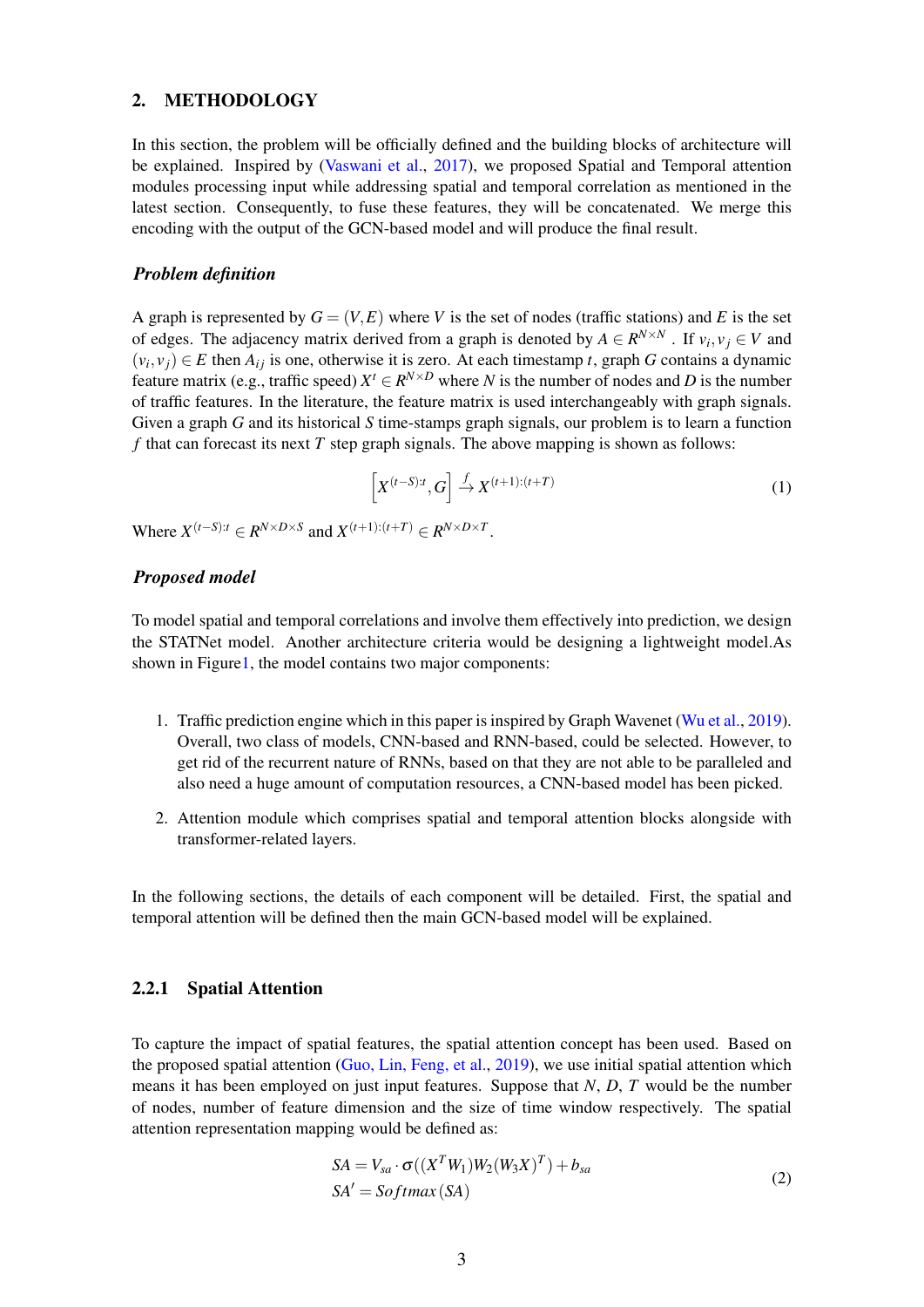## 2. METHODOLOGY

In this section, the problem will be officially defined and the building blocks of architecture will be explained. Inspired by [\(Vaswani et al.,](#page-10-10) [2017\)](#page-10-10), we proposed Spatial and Temporal attention modules processing input while addressing spatial and temporal correlation as mentioned in the latest section. Consequently, to fuse these features, they will be concatenated. We merge this encoding with the output of the GCN-based model and will produce the final result.

#### *Problem definition*

A graph is represented by  $G = (V, E)$  where V is the set of nodes (traffic stations) and E is the set of edges. The adjacency matrix derived from a graph is denoted by  $A \in R^{N \times N}$ . If  $v_i, v_j \in V$  and  $(v_i, v_j) \in E$  then  $A_{ij}$  is one, otherwise it is zero. At each timestamp *t*, graph *G* contains a dynamic feature matrix (e.g., traffic speed)  $X^t \in R^{N \times D}$  where *N* is the number of nodes and *D* is the number of traffic features. In the literature, the feature matrix is used interchangeably with graph signals. Given a graph *G* and its historical *S* time-stamps graph signals, our problem is to learn a function *f* that can forecast its next *T* step graph signals. The above mapping is shown as follows:

$$
\left[X^{(t-S):t},G\right] \xrightarrow{f} X^{(t+1):(t+T)}\tag{1}
$$

Where  $X^{(t-S):t} \in R^{N \times D \times S}$  and  $X^{(t+1):(t+T)} \in R^{N \times D \times T}$ .

#### *Proposed model*

To model spatial and temporal correlations and involve them effectively into prediction, we design the STATNet model. Another architecture criteria would be designing a lightweight model.As shown in Figur[e1,](#page-3-0) the model contains two major components:

- 1. Traffic prediction engine which in this paper is inspired by Graph Wavenet [\(Wu et al.,](#page-10-7) [2019\)](#page-10-7). Overall, two class of models, CNN-based and RNN-based, could be selected. However, to get rid of the recurrent nature of RNNs, based on that they are not able to be paralleled and also need a huge amount of computation resources, a CNN-based model has been picked.
- 2. Attention module which comprises spatial and temporal attention blocks alongside with transformer-related layers.

In the following sections, the details of each component will be detailed. First, the spatial and temporal attention will be defined then the main GCN-based model will be explained.

#### 2.2.1 Spatial Attention

To capture the impact of spatial features, the spatial attention concept has been used. Based on the proposed spatial attention [\(Guo, Lin, Feng, et al.,](#page-10-8) [2019\)](#page-10-8), we use initial spatial attention which means it has been employed on just input features. Suppose that *N*, *D*, *T* would be the number of nodes, number of feature dimension and the size of time window respectively. The spatial attention representation mapping would be defined as:

$$
SA = V_{sa} \cdot \sigma((X^T W_1) W_2 (W_3 X)^T) + b_{sa}
$$
  
\n
$$
SA' = Softmax(SA)
$$
\n(2)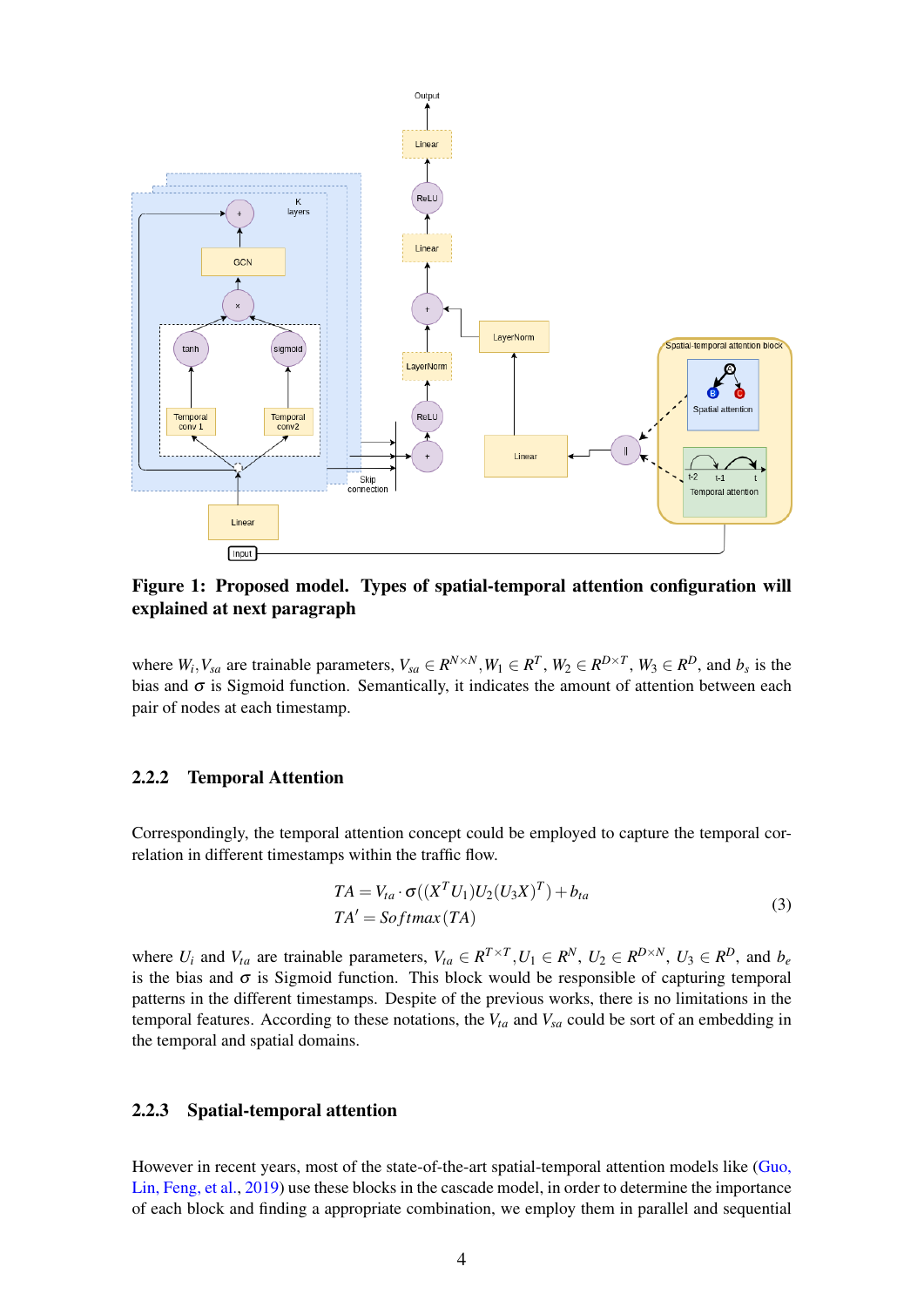<span id="page-3-0"></span>

Figure 1: Proposed model. Types of spatial-temporal attention configuration will explained at next paragraph

where  $W_i, V_{sa}$  are trainable parameters,  $V_{sa} \in R^{N \times N}, W_1 \in R^T, W_2 \in R^{D \times T}, W_3 \in R^D$ , and  $b_s$  is the bias and  $\sigma$  is Sigmoid function. Semantically, it indicates the amount of attention between each pair of nodes at each timestamp.

### 2.2.2 Temporal Attention

Correspondingly, the temporal attention concept could be employed to capture the temporal correlation in different timestamps within the traffic flow.

$$
TA = V_{ta} \cdot \sigma((X^T U_1) U_2 (U_3 X)^T) + b_{ta}
$$
  
\n
$$
TA' = Softmax(TA)
$$
\n(3)

where  $U_i$  and  $V_{ta}$  are trainable parameters,  $V_{ta} \in R^{T \times T}$ ,  $U_1 \in R^N$ ,  $U_2 \in R^{D \times N}$ ,  $U_3 \in R^D$ , and  $b_e$ is the bias and  $\sigma$  is Sigmoid function. This block would be responsible of capturing temporal patterns in the different timestamps. Despite of the previous works, there is no limitations in the temporal features. According to these notations, the *Vta* and *Vsa* could be sort of an embedding in the temporal and spatial domains.

# 2.2.3 Spatial-temporal attention

However in recent years, most of the state-of-the-art spatial-temporal attention models like [\(Guo,](#page-10-8) [Lin, Feng, et al.,](#page-10-8) [2019\)](#page-10-8) use these blocks in the cascade model, in order to determine the importance of each block and finding a appropriate combination, we employ them in parallel and sequential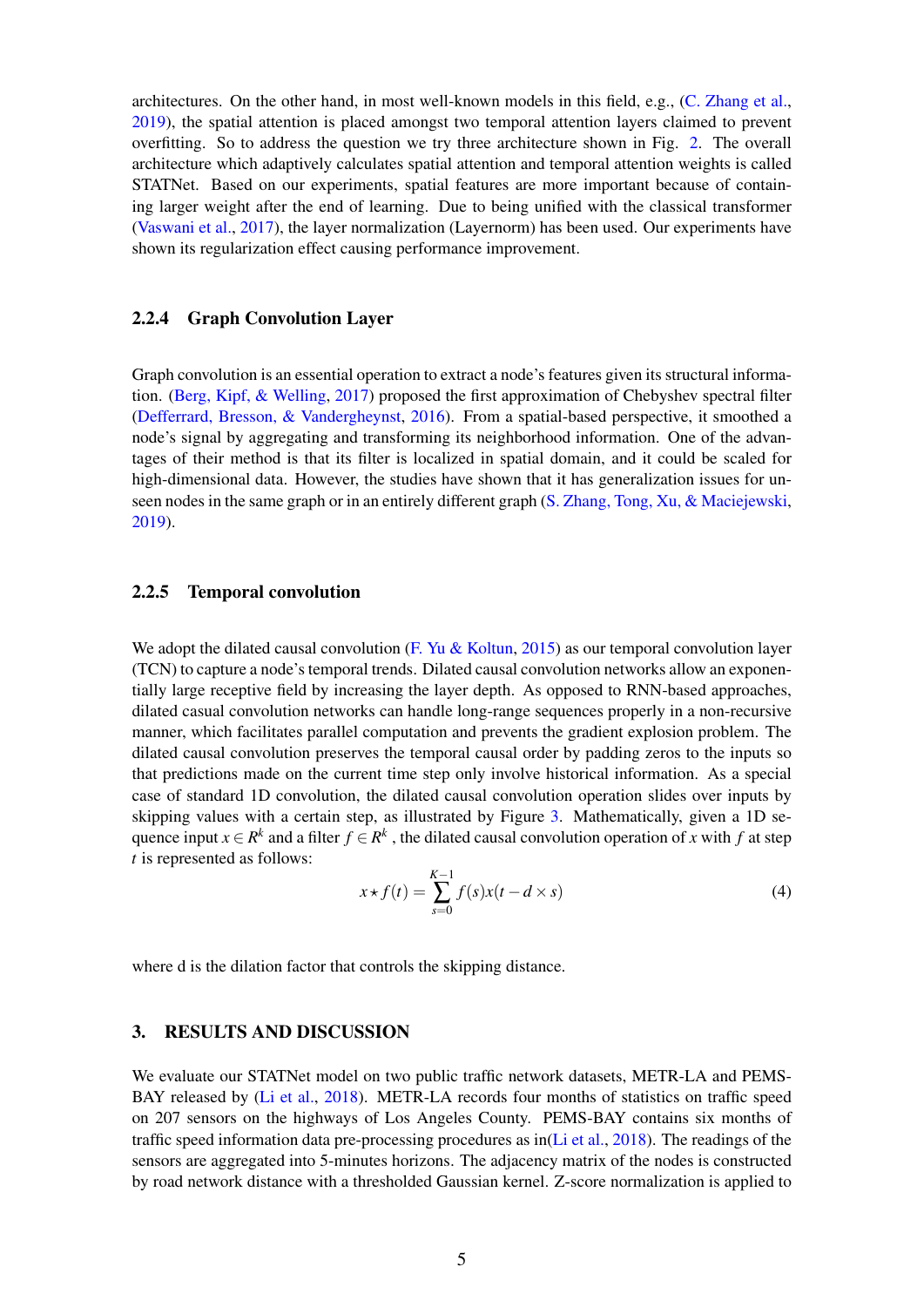architectures. On the other hand, in most well-known models in this field, e.g., [\(C. Zhang et al.,](#page-10-0) [2019\)](#page-10-0), the spatial attention is placed amongst two temporal attention layers claimed to prevent overfitting. So to address the question we try three architecture shown in Fig. [2.](#page-5-0) The overall architecture which adaptively calculates spatial attention and temporal attention weights is called STATNet. Based on our experiments, spatial features are more important because of containing larger weight after the end of learning. Due to being unified with the classical transformer [\(Vaswani et al.,](#page-10-10) [2017\)](#page-10-10), the layer normalization (Layernorm) has been used. Our experiments have shown its regularization effect causing performance improvement.

## 2.2.4 Graph Convolution Layer

Graph convolution is an essential operation to extract a node's features given its structural information. [\(Berg, Kipf, & Welling,](#page-9-3) [2017\)](#page-9-3) proposed the first approximation of Chebyshev spectral filter [\(Defferrard, Bresson, & Vandergheynst,](#page-9-4) [2016\)](#page-9-4). From a spatial-based perspective, it smoothed a node's signal by aggregating and transforming its neighborhood information. One of the advantages of their method is that its filter is localized in spatial domain, and it could be scaled for high-dimensional data. However, the studies have shown that it has generalization issues for unseen nodes in the same graph or in an entirely different graph [\(S. Zhang, Tong, Xu, & Maciejewski,](#page-10-11) [2019\)](#page-10-11).

## 2.2.5 Temporal convolution

We adopt the dilated causal convolution [\(F. Yu & Koltun,](#page-10-12) [2015\)](#page-10-12) as our temporal convolution layer (TCN) to capture a node's temporal trends. Dilated causal convolution networks allow an exponentially large receptive field by increasing the layer depth. As opposed to RNN-based approaches, dilated casual convolution networks can handle long-range sequences properly in a non-recursive manner, which facilitates parallel computation and prevents the gradient explosion problem. The dilated causal convolution preserves the temporal causal order by padding zeros to the inputs so that predictions made on the current time step only involve historical information. As a special case of standard 1D convolution, the dilated causal convolution operation slides over inputs by skipping values with a certain step, as illustrated by Figure [3.](#page-5-1) Mathematically, given a 1D sequence input  $x \in R^k$  and a filter  $f \in R^k$ , the dilated causal convolution operation of *x* with *f* at step *t* is represented as follows:

$$
x \star f(t) = \sum_{s=0}^{K-1} f(s)x(t - d \times s)
$$
 (4)

where d is the dilation factor that controls the skipping distance.

#### 3. RESULTS AND DISCUSSION

We evaluate our STATNet model on two public traffic network datasets, METR-LA and PEMS-BAY released by [\(Li et al.,](#page-10-1) [2018\)](#page-10-1). METR-LA records four months of statistics on traffic speed on 207 sensors on the highways of Los Angeles County. PEMS-BAY contains six months of traffic speed information data pre-processing procedures as in( $Li$  et al., [2018\)](#page-10-1). The readings of the sensors are aggregated into 5-minutes horizons. The adjacency matrix of the nodes is constructed by road network distance with a thresholded Gaussian kernel. Z-score normalization is applied to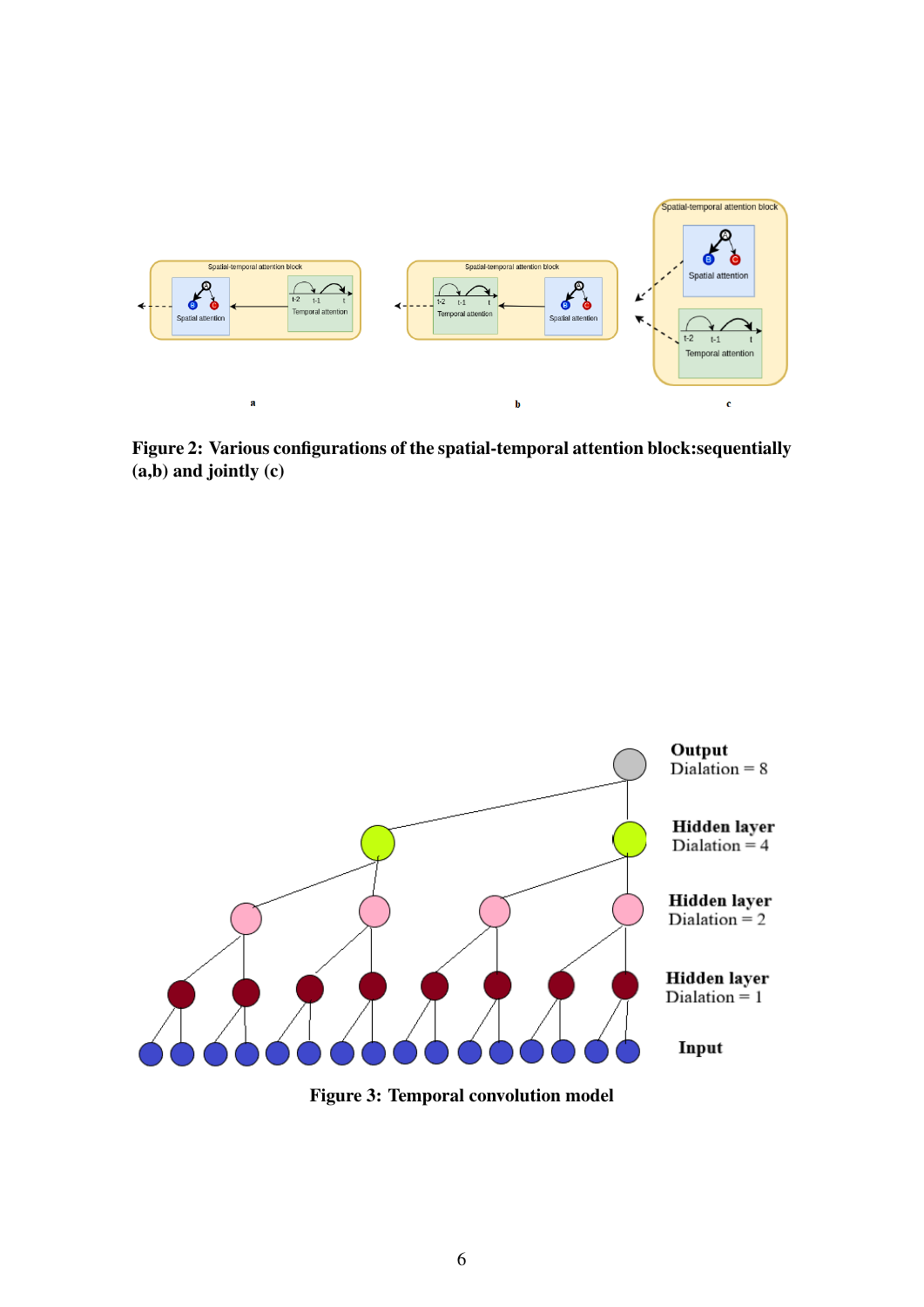<span id="page-5-0"></span>

Figure 2: Various configurations of the spatial-temporal attention block:sequentially (a,b) and jointly (c)

<span id="page-5-1"></span>

Figure 3: Temporal convolution model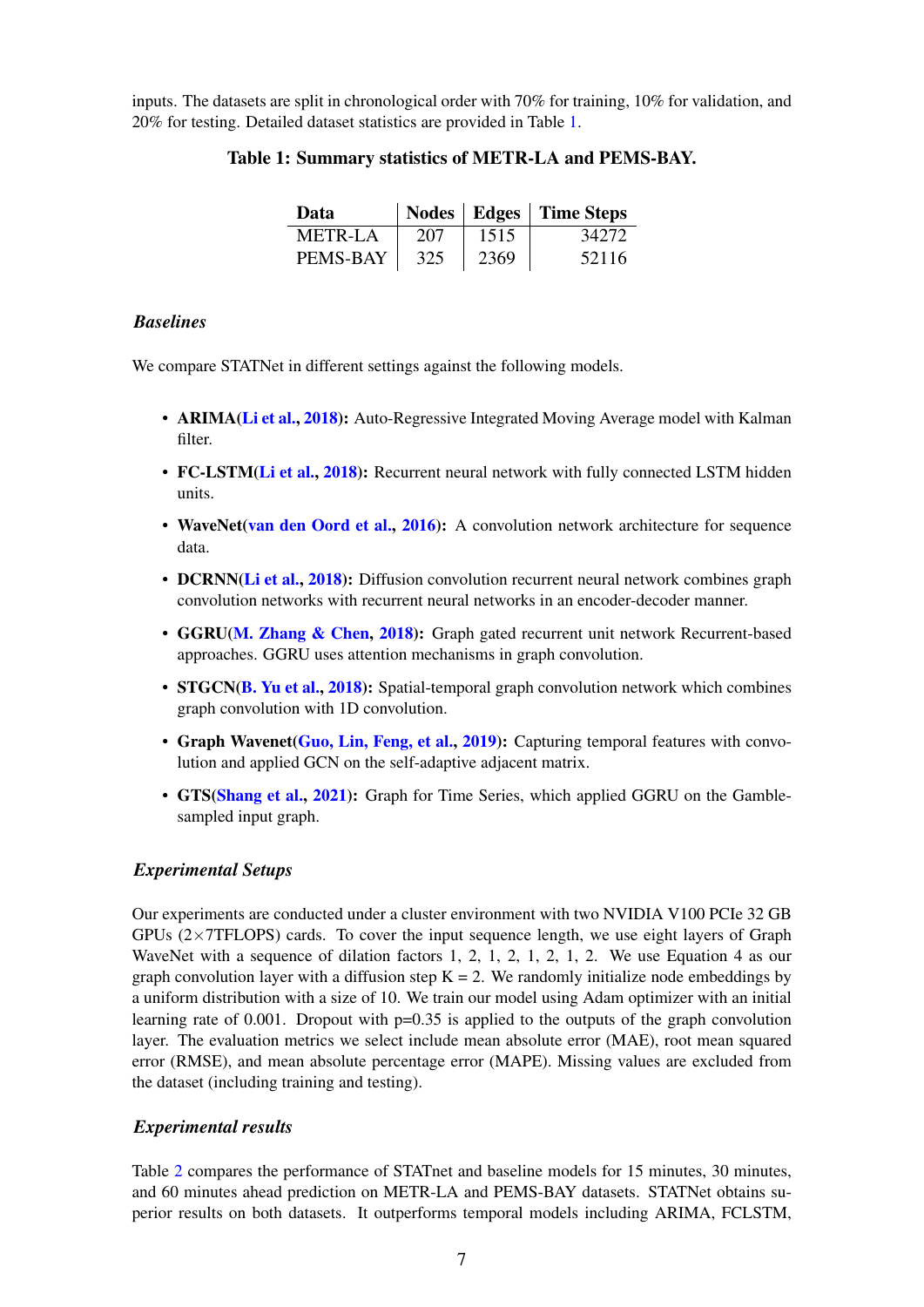<span id="page-6-0"></span>inputs. The datasets are split in chronological order with 70% for training, 10% for validation, and 20% for testing. Detailed dataset statistics are provided in Table [1.](#page-6-0)

| Data           |     |      | Nodes   Edges   Time Steps |
|----------------|-----|------|----------------------------|
| <b>METR-LA</b> | 207 | 1515 | 34272                      |
| PEMS-BAY       | 325 | 2369 | 52116                      |

# Table 1: Summary statistics of METR-LA and PEMS-BAY.

# *Baselines*

We compare STATNet in different settings against the following models.

- ARIMA[\(Li et al.,](#page-10-1) [2018\)](#page-10-1): Auto-Regressive Integrated Moving Average model with Kalman filter.
- FC-LSTM[\(Li et al.,](#page-10-1) [2018\)](#page-10-1): Recurrent neural network with fully connected LSTM hidden units.
- WaveNet[\(van den Oord et al.,](#page-10-13) [2016\)](#page-10-13): A convolution network architecture for sequence data.
- DCRNN[\(Li et al.,](#page-10-1) [2018\)](#page-10-1): Diffusion convolution recurrent neural network combines graph convolution networks with recurrent neural networks in an encoder-decoder manner.
- GGRU[\(M. Zhang & Chen,](#page-10-14) [2018\)](#page-10-14): Graph gated recurrent unit network Recurrent-based approaches. GGRU uses attention mechanisms in graph convolution.
- STGCN[\(B. Yu et al.,](#page-10-6) [2018\)](#page-10-6): Spatial-temporal graph convolution network which combines graph convolution with 1D convolution.
- Graph Wavenet[\(Guo, Lin, Feng, et al.,](#page-10-8) [2019\)](#page-10-8): Capturing temporal features with convolution and applied GCN on the self-adaptive adjacent matrix.
- GTS[\(Shang et al.,](#page-10-9) [2021\)](#page-10-9): Graph for Time Series, which applied GGRU on the Gamblesampled input graph.

## *Experimental Setups*

Our experiments are conducted under a cluster environment with two NVIDIA V100 PCIe 32 GB GPUs  $(2\times 7$ TFLOPS) cards. To cover the input sequence length, we use eight layers of Graph WaveNet with a sequence of dilation factors 1, 2, 1, 2, 1, 2, 1, 2. We use Equation 4 as our graph convolution layer with a diffusion step  $K = 2$ . We randomly initialize node embeddings by a uniform distribution with a size of 10. We train our model using Adam optimizer with an initial learning rate of 0.001. Dropout with  $p=0.35$  is applied to the outputs of the graph convolution layer. The evaluation metrics we select include mean absolute error (MAE), root mean squared error (RMSE), and mean absolute percentage error (MAPE). Missing values are excluded from the dataset (including training and testing).

# *Experimental results*

Table [2](#page-8-0) compares the performance of STATnet and baseline models for 15 minutes, 30 minutes, and 60 minutes ahead prediction on METR-LA and PEMS-BAY datasets. STATNet obtains superior results on both datasets. It outperforms temporal models including ARIMA, FCLSTM,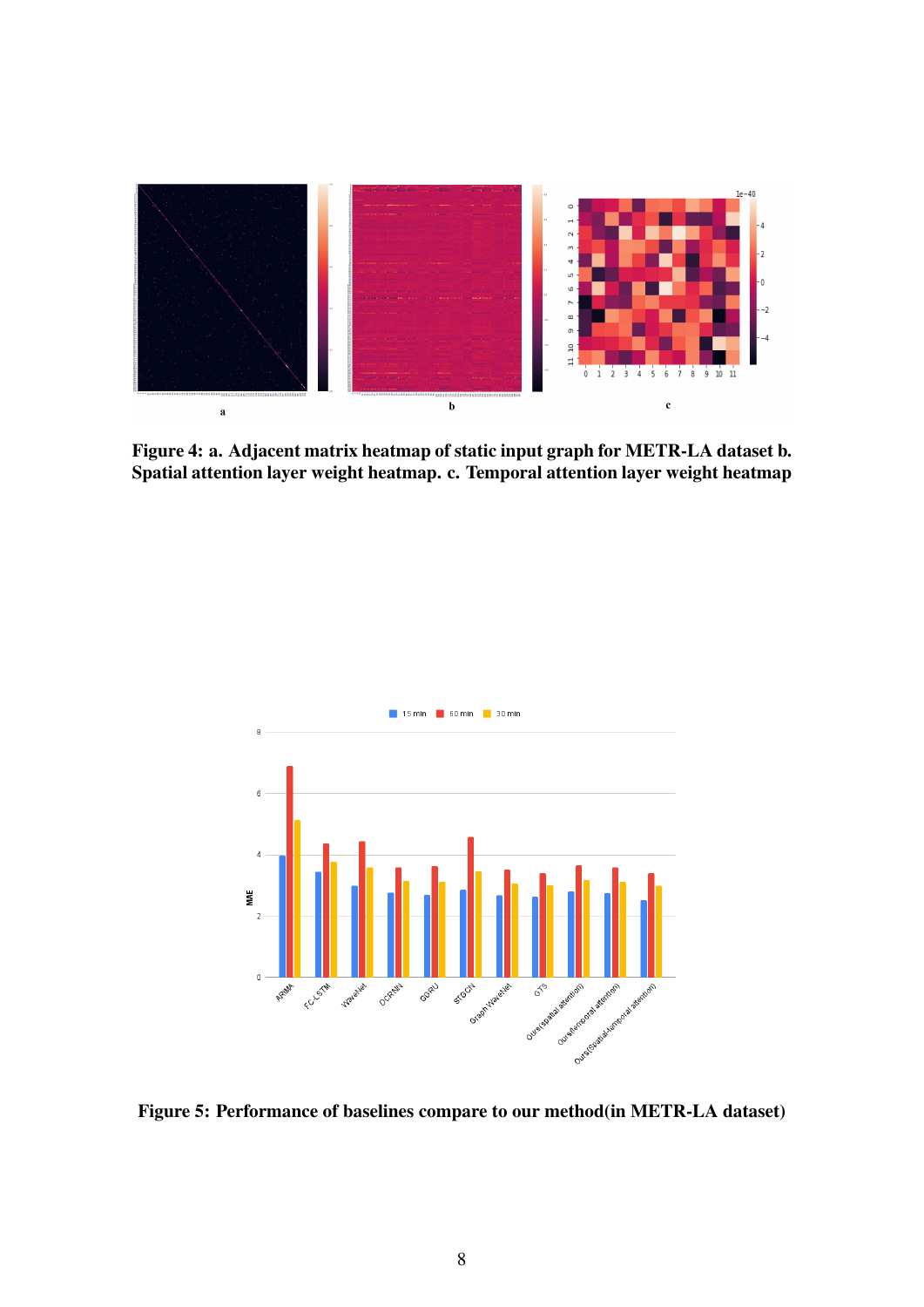<span id="page-7-0"></span>

Figure 4: a. Adjacent matrix heatmap of static input graph for METR-LA dataset b. Spatial attention layer weight heatmap. c. Temporal attention layer weight heatmap

<span id="page-7-1"></span>

Figure 5: Performance of baselines compare to our method(in METR-LA dataset)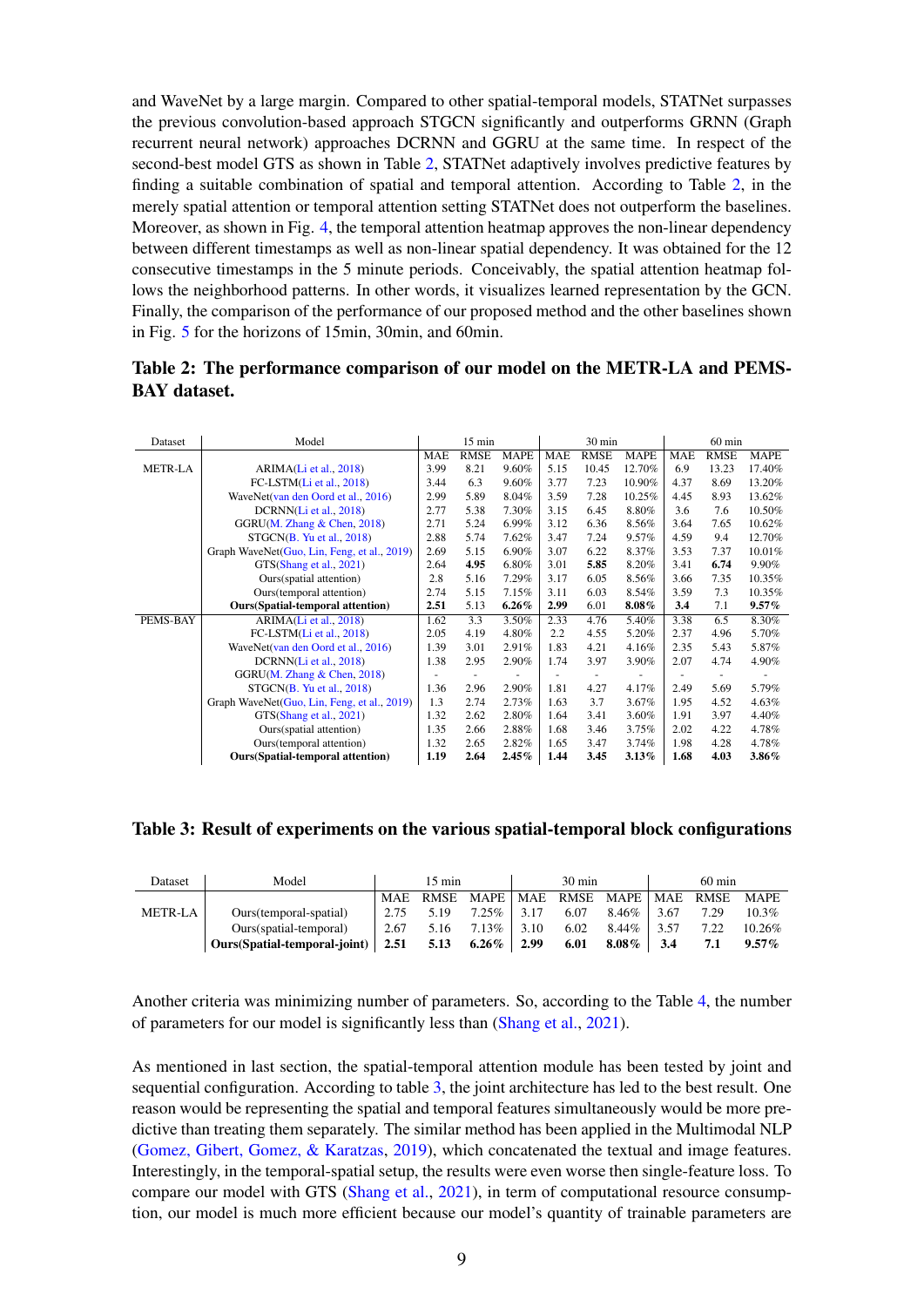and WaveNet by a large margin. Compared to other spatial-temporal models, STATNet surpasses the previous convolution-based approach STGCN significantly and outperforms GRNN (Graph recurrent neural network) approaches DCRNN and GGRU at the same time. In respect of the second-best model GTS as shown in Table [2,](#page-8-0) STATNet adaptively involves predictive features by finding a suitable combination of spatial and temporal attention. According to Table [2,](#page-8-0) in the merely spatial attention or temporal attention setting STATNet does not outperform the baselines. Moreover, as shown in Fig. [4,](#page-7-0) the temporal attention heatmap approves the non-linear dependency between different timestamps as well as non-linear spatial dependency. It was obtained for the 12 consecutive timestamps in the 5 minute periods. Conceivably, the spatial attention heatmap follows the neighborhood patterns. In other words, it visualizes learned representation by the GCN. Finally, the comparison of the performance of our proposed method and the other baselines shown in Fig. [5](#page-7-1) for the horizons of 15min, 30min, and 60min.

<span id="page-8-0"></span>

| Table 2: The performance comparison of our model on the METR-LA and PEMS- |  |  |  |  |  |  |  |
|---------------------------------------------------------------------------|--|--|--|--|--|--|--|
| <b>BAY</b> dataset.                                                       |  |  |  |  |  |  |  |

| Dataset        | Model                                       | $15 \text{ min}$ |             |             |            | 30 min      |             | $60 \text{ min}$ |             |             |
|----------------|---------------------------------------------|------------------|-------------|-------------|------------|-------------|-------------|------------------|-------------|-------------|
|                |                                             | <b>MAE</b>       | <b>RMSE</b> | <b>MAPE</b> | <b>MAE</b> | <b>RMSE</b> | <b>MAPE</b> | <b>MAE</b>       | <b>RMSE</b> | <b>MAPE</b> |
| <b>METR-LA</b> | ARIMA(Li et al., 2018)                      | 3.99             | 8.21        | 9.60%       | 5.15       | 10.45       | 12.70%      | 6.9              | 13.23       | 17.40%      |
|                | FC-LSTM(Li et al., 2018)                    | 3.44             | 6.3         | 9.60%       | 3.77       | 7.23        | 10.90%      | 4.37             | 8.69        | 13.20%      |
|                | WaveNet(van den Oord et al., 2016)          | 2.99             | 5.89        | 8.04%       | 3.59       | 7.28        | 10.25%      | 4.45             | 8.93        | 13.62%      |
|                | DCRNN(Li et al., 2018)                      | 2.77             | 5.38        | 7.30%       | 3.15       | 6.45        | 8.80%       | 3.6              | 7.6         | 10.50%      |
|                | GGRU( $M$ . Zhang & Chen, 2018)             | 2.71             | 5.24        | 6.99%       | 3.12       | 6.36        | 8.56%       | 3.64             | 7.65        | 10.62%      |
|                | STGCN(B. Yu et al., 2018)                   | 2.88             | 5.74        | 7.62%       | 3.47       | 7.24        | 9.57%       | 4.59             | 9.4         | 12.70%      |
|                | Graph WaveNet(Guo, Lin, Feng, et al., 2019) | 2.69             | 5.15        | 6.90%       | 3.07       | 6.22        | 8.37%       | 3.53             | 7.37        | 10.01%      |
|                | GTS(Shang et al., 2021)                     | 2.64             | 4.95        | 6.80%       | 3.01       | 5.85        | 8.20%       | 3.41             | 6.74        | 9.90%       |
|                | Ours(spatial attention)                     | 2.8              | 5.16        | 7.29%       | 3.17       | 6.05        | 8.56%       | 3.66             | 7.35        | 10.35%      |
|                | Ours(temporal attention)                    | 2.74             | 5.15        | 7.15%       | 3.11       | 6.03        | 8.54%       | 3.59             | 7.3         | 10.35%      |
|                | <b>Ours</b> (Spatial-temporal attention)    | 2.51             | 5.13        | $6.26\%$    | 2.99       | 6.01        | $8.08\%$    | 3.4              | 7.1         | 9.57%       |
| PEMS-BAY       | ARIMA(Li et al., 2018)                      | 1.62             | 3.3         | 3.50%       | 2.33       | 4.76        | 5.40%       | 3.38             | 6.5         | 8.30%       |
|                | FC-LSTM(Li et al., 2018)                    | 2.05             | 4.19        | 4.80%       | 2.2        | 4.55        | 5.20%       | 2.37             | 4.96        | 5.70%       |
|                | WaveNet(van den Oord et al., 2016)          | 1.39             | 3.01        | 2.91%       | 1.83       | 4.21        | 4.16%       | 2.35             | 5.43        | 5.87%       |
|                | DCRNN(Li et al., 2018)                      | 1.38             | 2.95        | 2.90%       | 1.74       | 3.97        | 3.90%       | 2.07             | 4.74        | 4.90%       |
|                | GGRU( $M$ . Zhang & Chen, 2018)             |                  |             |             |            |             |             |                  |             |             |
|                | STGCN(B. Yu et al., 2018)                   | 1.36             | 2.96        | 2.90%       | 1.81       | 4.27        | 4.17%       | 2.49             | 5.69        | 5.79%       |
|                | Graph WaveNet(Guo, Lin, Feng, et al., 2019) | 1.3              | 2.74        | 2.73%       | 1.63       | 3.7         | 3.67%       | 1.95             | 4.52        | 4.63%       |
|                | GTS(Shang et al., 2021)                     | 1.32             | 2.62        | 2.80%       | 1.64       | 3.41        | 3.60%       | 1.91             | 3.97        | 4.40%       |
|                | Ours(spatial attention)                     | 1.35             | 2.66        | 2.88%       | 1.68       | 3.46        | 3.75%       | 2.02             | 4.22        | 4.78%       |
|                | Ours(temporal attention)                    | 1.32             | 2.65        | 2.82%       | 1.65       | 3.47        | 3.74%       | 1.98             | 4.28        | 4.78%       |
|                | <b>Ours</b> (Spatial-temporal attention)    | 1.19             | 2.64        | 2.45%       | 1.44       | 3.45        | 3.13%       | 1.68             | 4.03        | $3.86\%$    |

<span id="page-8-1"></span>Table 3: Result of experiments on the various spatial-temporal block configurations

| Dataset        | Model                             |      | $15 \text{ min}$ |                                               | $30 \text{ min}$ |              | $60 \text{ min}$ |      |           |
|----------------|-----------------------------------|------|------------------|-----------------------------------------------|------------------|--------------|------------------|------|-----------|
|                |                                   |      |                  | MAE RMSE MAPE   MAE RMSE MAPE   MAE RMSE MAPE |                  |              |                  |      |           |
| <b>METR-LA</b> | Ours (temporal-spatial)           | 2.75 | 5.19             | $7.25\%$ 3.17                                 | 6.07             | $8.46\%$     | 3.67             | 7.29 | $10.3\%$  |
|                | Ours(spatial-temporal)            | 2.67 |                  | $5.16$ $7.13\%$ $3.10$                        | 6.02             | $8.44\%$     | 3.57             | 7.22 | $10.26\%$ |
|                | Ours(Spatial-temporal-joint) 2.51 |      |                  | $5.13$ $6.26\%$ 2.99                          | 6.01             | 8.08% $\mid$ | 3.4              | 7.1  | $9.57\%$  |

Another criteria was minimizing number of parameters. So, according to the Table [4,](#page-9-5) the number of parameters for our model is significantly less than [\(Shang et al.,](#page-10-9) [2021\)](#page-10-9).

As mentioned in last section, the spatial-temporal attention module has been tested by joint and sequential configuration. According to table [3,](#page-8-1) the joint architecture has led to the best result. One reason would be representing the spatial and temporal features simultaneously would be more predictive than treating them separately. The similar method has been applied in the Multimodal NLP [\(Gomez, Gibert, Gomez, & Karatzas,](#page-9-6) [2019\)](#page-9-6), which concatenated the textual and image features. Interestingly, in the temporal-spatial setup, the results were even worse then single-feature loss. To compare our model with GTS [\(Shang et al.,](#page-10-9) [2021\)](#page-10-9), in term of computational resource consumption, our model is much more efficient because our model's quantity of trainable parameters are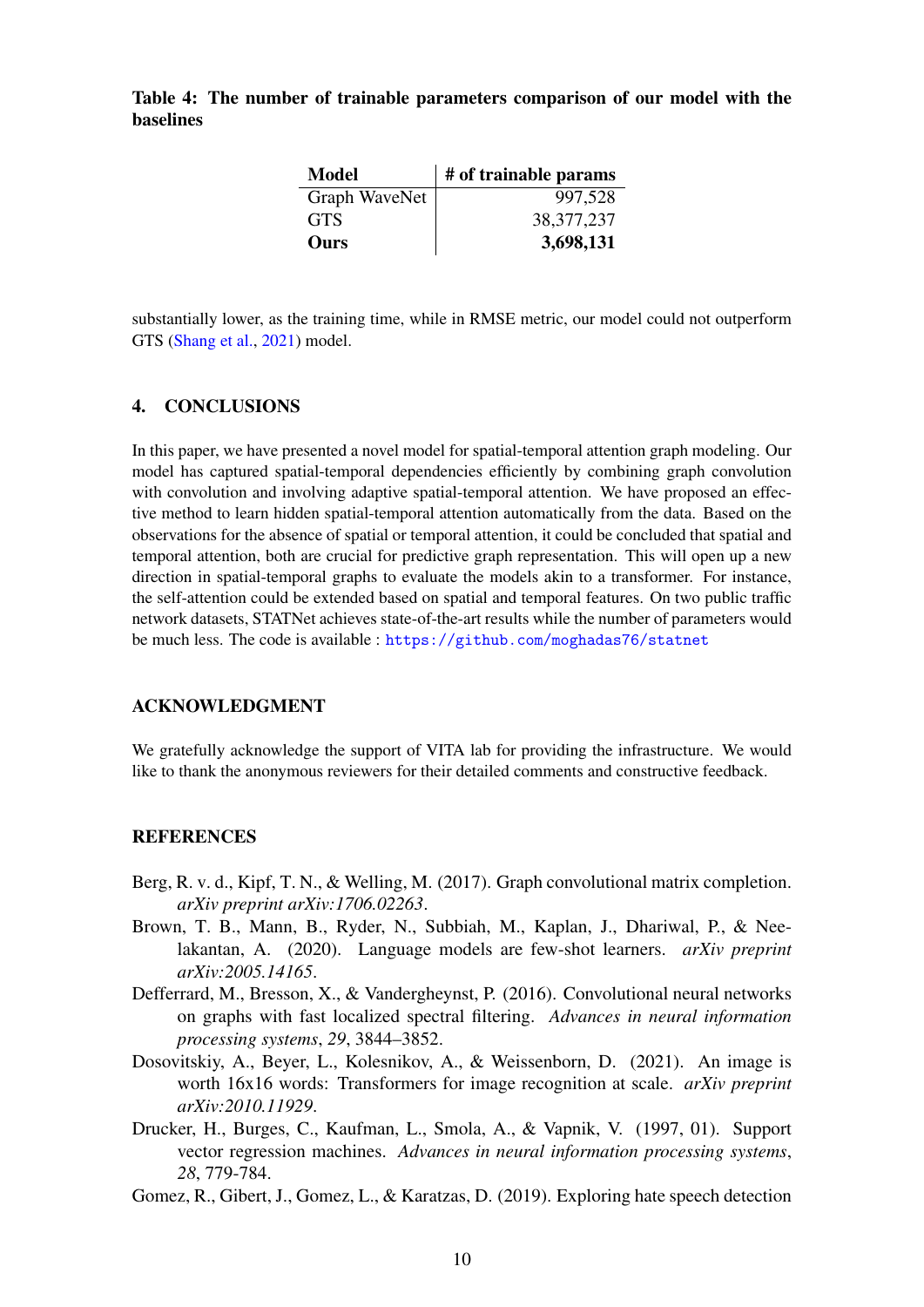<span id="page-9-5"></span>Table 4: The number of trainable parameters comparison of our model with the baselines

| Model         | # of trainable params |
|---------------|-----------------------|
| Graph WaveNet | 997,528               |
| <b>GTS</b>    | 38, 377, 237          |
| Ours          | 3,698,131             |

substantially lower, as the training time, while in RMSE metric, our model could not outperform GTS [\(Shang et al.,](#page-10-9) [2021\)](#page-10-9) model.

# 4. CONCLUSIONS

In this paper, we have presented a novel model for spatial-temporal attention graph modeling. Our model has captured spatial-temporal dependencies efficiently by combining graph convolution with convolution and involving adaptive spatial-temporal attention. We have proposed an effective method to learn hidden spatial-temporal attention automatically from the data. Based on the observations for the absence of spatial or temporal attention, it could be concluded that spatial and temporal attention, both are crucial for predictive graph representation. This will open up a new direction in spatial-temporal graphs to evaluate the models akin to a transformer. For instance, the self-attention could be extended based on spatial and temporal features. On two public traffic network datasets, STATNet achieves state-of-the-art results while the number of parameters would be much less. The code is available : <https://github.com/moghadas76/statnet>

# ACKNOWLEDGMENT

We gratefully acknowledge the support of VITA lab for providing the infrastructure. We would like to thank the anonymous reviewers for their detailed comments and constructive feedback.

#### REFERENCES

- <span id="page-9-3"></span>Berg, R. v. d., Kipf, T. N., & Welling, M. (2017). Graph convolutional matrix completion. *arXiv preprint arXiv:1706.02263*.
- <span id="page-9-2"></span>Brown, T. B., Mann, B., Ryder, N., Subbiah, M., Kaplan, J., Dhariwal, P., & Neelakantan, A. (2020). Language models are few-shot learners. *arXiv preprint arXiv:2005.14165*.
- <span id="page-9-4"></span>Defferrard, M., Bresson, X., & Vandergheynst, P. (2016). Convolutional neural networks on graphs with fast localized spectral filtering. *Advances in neural information processing systems*, *29*, 3844–3852.
- <span id="page-9-1"></span>Dosovitskiy, A., Beyer, L., Kolesnikov, A., & Weissenborn, D. (2021). An image is worth 16x16 words: Transformers for image recognition at scale. *arXiv preprint arXiv:2010.11929*.
- <span id="page-9-0"></span>Drucker, H., Burges, C., Kaufman, L., Smola, A., & Vapnik, V. (1997, 01). Support vector regression machines. *Advances in neural information processing systems*, *28*, 779-784.
- <span id="page-9-6"></span>Gomez, R., Gibert, J., Gomez, L., & Karatzas, D. (2019). Exploring hate speech detection